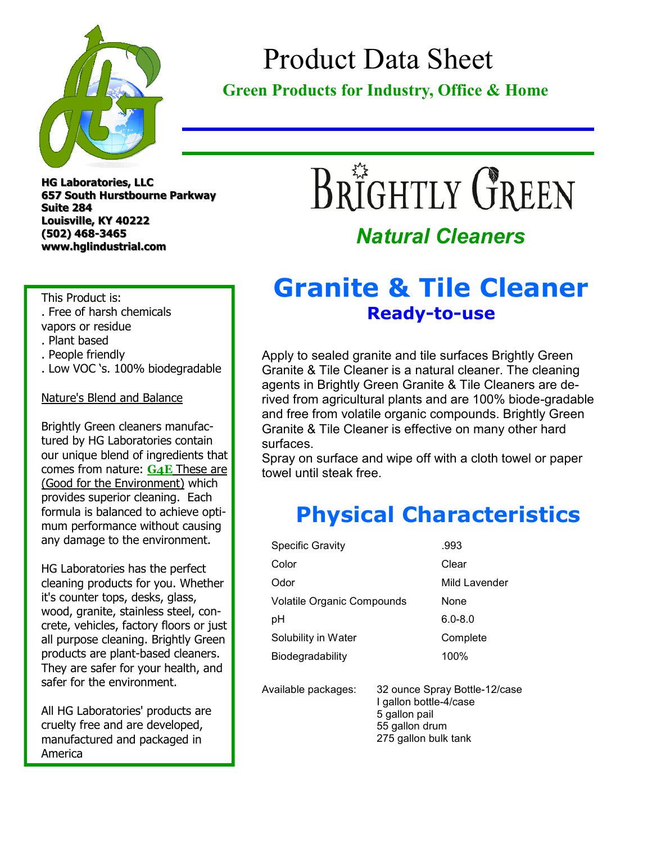

## Product Data Sheet

#### **Green Products for Industry, Office & Home**

**HG Laboratories, LLC 657 South Hurstbourne Parkway Suite 284 Louisville, KY 40222 (502) 468-3465 www.hglindustrial.com**

# BRIGHTLY GREEN

#### *Natural Cleaners*

#### **Granite & Tile Cleaner Ready-to-use**

Apply to sealed granite and tile surfaces Brightly Green Granite & Tile Cleaner is a natural cleaner. The cleaning agents in Brightly Green Granite & Tile Cleaners are derived from agricultural plants and are 100% biode-gradable and free from volatile organic compounds. Brightly Green Granite & Tile Cleaner is effective on many other hard surfaces.

Spray on surface and wipe off with a cloth towel or paper towel until steak free.

### **Physical Characteristics**

| <b>Specific Gravity</b>    | .993                                                                                                               |  |
|----------------------------|--------------------------------------------------------------------------------------------------------------------|--|
| Color                      | Clear                                                                                                              |  |
| Odor                       | Mild Lavender                                                                                                      |  |
| Volatile Organic Compounds | None                                                                                                               |  |
| рH                         | 6.0-8.0                                                                                                            |  |
| Solubility in Water        | Complete                                                                                                           |  |
| Biodegradability           | 100%                                                                                                               |  |
| Available packages:        | 32 ounce Spray Bottle-12/case<br>I gallon bottle-4/case<br>5 gallon pail<br>55 gallon drum<br>275 gallon bulk tank |  |

This Product is: . Free of harsh chemicals

- vapors or residue
- . Plant based
- . People friendly
- . Low VOC 's. 100% biodegradable

#### Nature's Blend and Balance

Brightly Green cleaners manufactured by HG Laboratories contain our unique blend of ingredients that comes from nature: **G4E** These are (Good for the Environment) which provides superior cleaning. Each formula is balanced to achieve optimum performance without causing any damage to the environment.

HG Laboratories has the perfect cleaning products for you. Whether it's counter tops, desks, glass, wood, granite, stainless steel, concrete, vehicles, factory floors or just all purpose cleaning. Brightly Green products are plant-based cleaners. They are safer for your health, and safer for the environment.

All HG Laboratories' products are cruelty free and are developed, manufactured and packaged in America